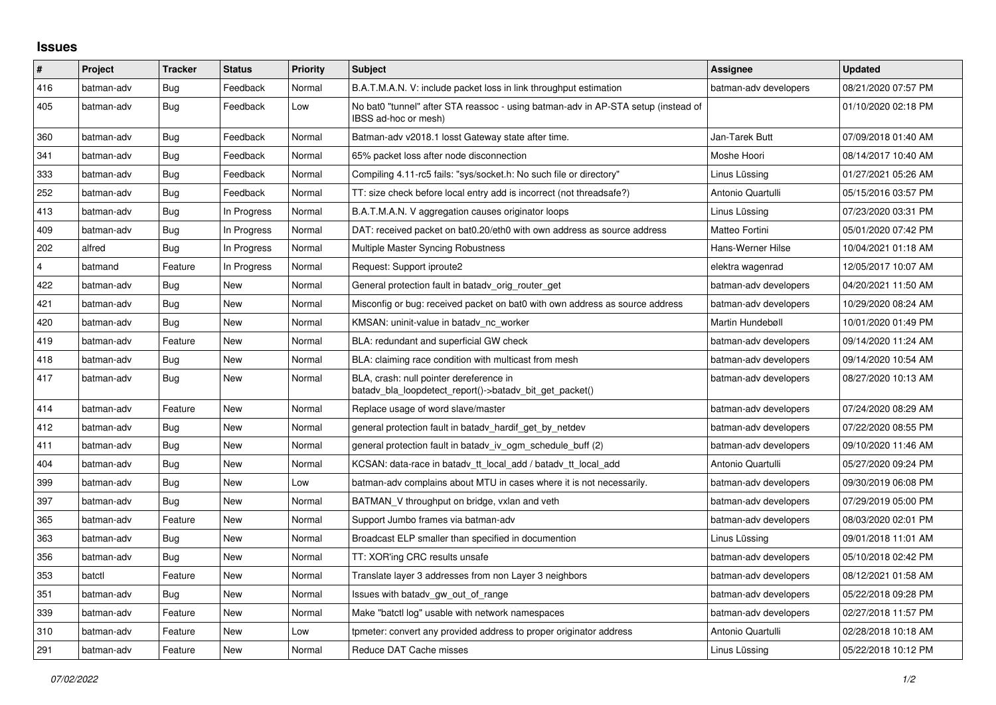## **Issues**

| #              | Project    | <b>Tracker</b> | <b>Status</b> | <b>Priority</b> | <b>Subject</b>                                                                                            | Assignee              | <b>Updated</b>      |
|----------------|------------|----------------|---------------|-----------------|-----------------------------------------------------------------------------------------------------------|-----------------------|---------------------|
| 416            | batman-adv | Bug            | Feedback      | Normal          | B.A.T.M.A.N. V: include packet loss in link throughput estimation                                         | batman-adv developers | 08/21/2020 07:57 PM |
| 405            | batman-adv | Bug            | Feedback      | Low             | No bat0 "tunnel" after STA reassoc - using batman-adv in AP-STA setup (instead of<br>IBSS ad-hoc or mesh) |                       | 01/10/2020 02:18 PM |
| 360            | batman-adv | Bug            | Feedback      | Normal          | Batman-adv v2018.1 losst Gateway state after time.                                                        | Jan-Tarek Butt        | 07/09/2018 01:40 AM |
| 341            | batman-adv | <b>Bug</b>     | Feedback      | Normal          | 65% packet loss after node disconnection                                                                  | Moshe Hoori           | 08/14/2017 10:40 AM |
| 333            | batman-adv | Bug            | Feedback      | Normal          | Compiling 4.11-rc5 fails: "sys/socket.h: No such file or directory"                                       | Linus Lüssina         | 01/27/2021 05:26 AM |
| 252            | batman-adv | <b>Bug</b>     | Feedback      | Normal          | TT: size check before local entry add is incorrect (not threadsafe?)                                      | Antonio Quartulli     | 05/15/2016 03:57 PM |
| 413            | batman-adv | Bug            | In Progress   | Normal          | B.A.T.M.A.N. V aggregation causes originator loops                                                        | Linus Lüssing         | 07/23/2020 03:31 PM |
| 409            | batman-adv | Bug            | In Progress   | Normal          | DAT: received packet on bat0.20/eth0 with own address as source address                                   | Matteo Fortini        | 05/01/2020 07:42 PM |
| 202            | alfred     | Bug            | In Progress   | Normal          | Multiple Master Syncing Robustness                                                                        | Hans-Werner Hilse     | 10/04/2021 01:18 AM |
| $\overline{4}$ | batmand    | Feature        | In Progress   | Normal          | Request: Support iproute2                                                                                 | elektra wagenrad      | 12/05/2017 10:07 AM |
| 422            | batman-adv | Bug            | New           | Normal          | General protection fault in batady orig router get                                                        | batman-adv developers | 04/20/2021 11:50 AM |
| 421            | batman-adv | Bug            | <b>New</b>    | Normal          | Misconfig or bug: received packet on bat0 with own address as source address                              | batman-adv developers | 10/29/2020 08:24 AM |
| 420            | batman-adv | Bug            | New           | Normal          | KMSAN: uninit-value in batady no worker                                                                   | Martin Hundebøll      | 10/01/2020 01:49 PM |
| 419            | batman-adv | Feature        | New           | Normal          | BLA: redundant and superficial GW check                                                                   | batman-adv developers | 09/14/2020 11:24 AM |
| 418            | batman-adv | Bug            | <b>New</b>    | Normal          | BLA: claiming race condition with multicast from mesh                                                     | batman-adv developers | 09/14/2020 10:54 AM |
| 417            | batman-adv | Bug            | New           | Normal          | BLA, crash: null pointer dereference in<br>batady bla loopdetect report()->batady bit get packet()        | batman-adv developers | 08/27/2020 10:13 AM |
| 414            | batman-adv | Feature        | New           | Normal          | Replace usage of word slave/master                                                                        | batman-adv developers | 07/24/2020 08:29 AM |
| 412            | batman-adv | Bug            | New           | Normal          | general protection fault in batady_hardif_get_by_netdev                                                   | batman-adv developers | 07/22/2020 08:55 PM |
| 411            | batman-adv | Bug            | <b>New</b>    | Normal          | general protection fault in batady iv ogm schedule buff (2)                                               | batman-adv developers | 09/10/2020 11:46 AM |
| 404            | batman-adv | Bug            | New           | Normal          | KCSAN: data-race in batady tt local add / batady tt local add                                             | Antonio Quartulli     | 05/27/2020 09:24 PM |
| 399            | batman-adv | <b>Bug</b>     | <b>New</b>    | Low             | batman-adv complains about MTU in cases where it is not necessarily.                                      | batman-adv developers | 09/30/2019 06:08 PM |
| 397            | batman-adv | Bug            | <b>New</b>    | Normal          | BATMAN V throughput on bridge, vxlan and veth                                                             | batman-adv developers | 07/29/2019 05:00 PM |
| 365            | batman-adv | Feature        | New           | Normal          | Support Jumbo frames via batman-adv                                                                       | batman-adv developers | 08/03/2020 02:01 PM |
| 363            | batman-adv | Bug            | New           | Normal          | Broadcast ELP smaller than specified in documention                                                       | Linus Lüssing         | 09/01/2018 11:01 AM |
| 356            | batman-adv | Bug            | New           | Normal          | TT: XOR'ing CRC results unsafe                                                                            | batman-adv developers | 05/10/2018 02:42 PM |
| 353            | batctl     | Feature        | <b>New</b>    | Normal          | Translate layer 3 addresses from non Layer 3 neighbors                                                    | batman-adv developers | 08/12/2021 01:58 AM |
| 351            | batman-adv | Bug            | New           | Normal          | Issues with batady gw out of range                                                                        | batman-adv developers | 05/22/2018 09:28 PM |
| 339            | batman-adv | Feature        | New           | Normal          | Make "batctl log" usable with network namespaces                                                          | batman-adv developers | 02/27/2018 11:57 PM |
| 310            | batman-adv | Feature        | New           | Low             | tpmeter: convert any provided address to proper originator address                                        | Antonio Quartulli     | 02/28/2018 10:18 AM |
| 291            | batman-adv | Feature        | New           | Normal          | Reduce DAT Cache misses                                                                                   | Linus Lüssing         | 05/22/2018 10:12 PM |